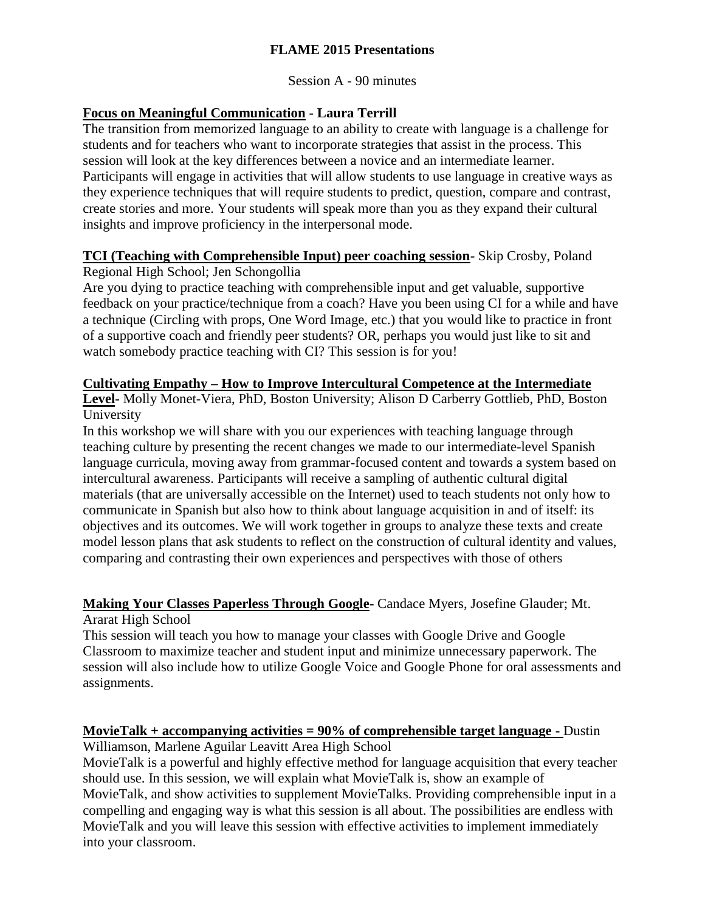## **FLAME 2015 Presentations**

Session A - 90 minutes

## **Focus on Meaningful Communication - Laura Terrill**

The transition from memorized language to an ability to create with language is a challenge for students and for teachers who want to incorporate strategies that assist in the process. This session will look at the key differences between a novice and an intermediate learner. Participants will engage in activities that will allow students to use language in creative ways as they experience techniques that will require students to predict, question, compare and contrast, create stories and more. Your students will speak more than you as they expand their cultural insights and improve proficiency in the interpersonal mode.

#### **TCI (Teaching with Comprehensible Input) peer coaching session-** Skip Crosby, Poland Regional High School; Jen Schongollia

Are you dying to practice teaching with comprehensible input and get valuable, supportive feedback on your practice/technique from a coach? Have you been using CI for a while and have a technique (Circling with props, One Word Image, etc.) that you would like to practice in front of a supportive coach and friendly peer students? OR, perhaps you would just like to sit and watch somebody practice teaching with CI? This session is for you!

#### **Cultivating Empathy – How to Improve Intercultural Competence at the Intermediate**

**Level-** Molly Monet-Viera, PhD, Boston University; Alison D Carberry Gottlieb, PhD, Boston University

In this workshop we will share with you our experiences with teaching language through teaching culture by presenting the recent changes we made to our intermediate-level Spanish language curricula, moving away from grammar-focused content and towards a system based on intercultural awareness. Participants will receive a sampling of authentic cultural digital materials (that are universally accessible on the Internet) used to teach students not only how to communicate in Spanish but also how to think about language acquisition in and of itself: its objectives and its outcomes. We will work together in groups to analyze these texts and create model lesson plans that ask students to reflect on the construction of cultural identity and values, comparing and contrasting their own experiences and perspectives with those of others

## **Making Your Classes Paperless Through Google-** Candace Myers, Josefine Glauder; Mt. Ararat High School

This session will teach you how to manage your classes with Google Drive and Google Classroom to maximize teacher and student input and minimize unnecessary paperwork. The session will also include how to utilize Google Voice and Google Phone for oral assessments and assignments.

## **MovieTalk + accompanying activities = 90% of comprehensible target language -** Dustin

Williamson, Marlene Aguilar Leavitt Area High School

MovieTalk is a powerful and highly effective method for language acquisition that every teacher should use. In this session, we will explain what MovieTalk is, show an example of MovieTalk, and show activities to supplement MovieTalks. Providing comprehensible input in a compelling and engaging way is what this session is all about. The possibilities are endless with MovieTalk and you will leave this session with effective activities to implement immediately into your classroom.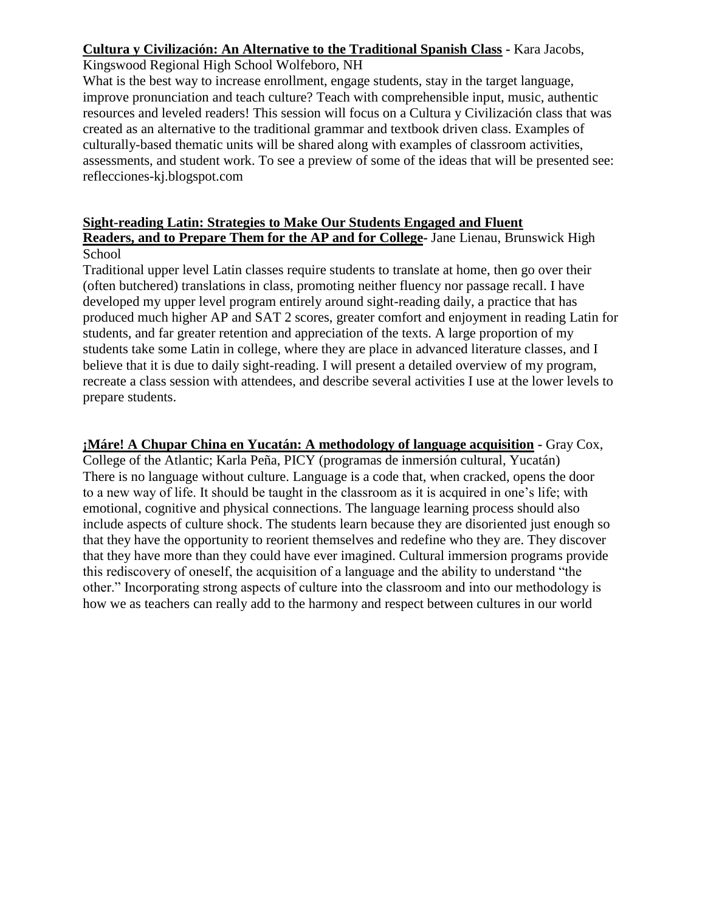#### **Cultura y Civilización: An Alternative to the Traditional Spanish Class -** Kara Jacobs,

Kingswood Regional High School Wolfeboro, NH

What is the best way to increase enrollment, engage students, stay in the target language, improve pronunciation and teach culture? Teach with comprehensible input, music, authentic resources and leveled readers! This session will focus on a Cultura y Civilización class that was created as an alternative to the traditional grammar and textbook driven class. Examples of culturally-based thematic units will be shared along with examples of classroom activities, assessments, and student work. To see a preview of some of the ideas that will be presented see: reflecciones-kj.blogspot.com

#### **Sight-reading Latin: Strategies to Make Our Students Engaged and Fluent Readers, and to Prepare Them for the AP and for College-** Jane Lienau, Brunswick High School

Traditional upper level Latin classes require students to translate at home, then go over their (often butchered) translations in class, promoting neither fluency nor passage recall. I have developed my upper level program entirely around sight-reading daily, a practice that has produced much higher AP and SAT 2 scores, greater comfort and enjoyment in reading Latin for students, and far greater retention and appreciation of the texts. A large proportion of my students take some Latin in college, where they are place in advanced literature classes, and I believe that it is due to daily sight-reading. I will present a detailed overview of my program, recreate a class session with attendees, and describe several activities I use at the lower levels to prepare students.

**¡Máre! A Chupar China en Yucatán: A methodology of language acquisition -** Gray Cox, College of the Atlantic; Karla Peña, PICY (programas de inmersión cultural, Yucatán) There is no language without culture. Language is a code that, when cracked, opens the door to a new way of life. It should be taught in the classroom as it is acquired in one's life; with emotional, cognitive and physical connections. The language learning process should also include aspects of culture shock. The students learn because they are disoriented just enough so that they have the opportunity to reorient themselves and redefine who they are. They discover that they have more than they could have ever imagined. Cultural immersion programs provide this rediscovery of oneself, the acquisition of a language and the ability to understand "the other." Incorporating strong aspects of culture into the classroom and into our methodology is how we as teachers can really add to the harmony and respect between cultures in our world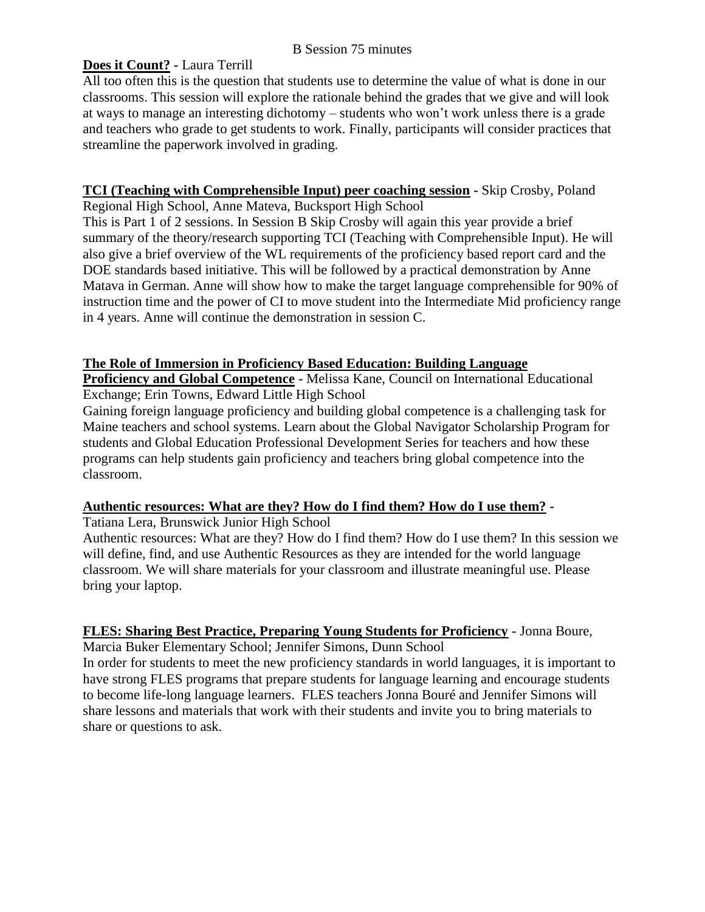#### B Session 75 minutes

## **Does it Count? -** Laura Terrill

All too often this is the question that students use to determine the value of what is done in our classrooms. This session will explore the rationale behind the grades that we give and will look at ways to manage an interesting dichotomy – students who won't work unless there is a grade and teachers who grade to get students to work. Finally, participants will consider practices that streamline the paperwork involved in grading.

# **TCI (Teaching with Comprehensible Input) peer coaching session -** Skip Crosby, Poland

Regional High School, Anne Mateva, Bucksport High School

This is Part 1 of 2 sessions. In Session B Skip Crosby will again this year provide a brief summary of the theory/research supporting TCI (Teaching with Comprehensible Input). He will also give a brief overview of the WL requirements of the proficiency based report card and the DOE standards based initiative. This will be followed by a practical demonstration by Anne Matava in German. Anne will show how to make the target language comprehensible for 90% of instruction time and the power of CI to move student into the Intermediate Mid proficiency range in 4 years. Anne will continue the demonstration in session C.

## **The Role of Immersion in Proficiency Based Education: Building Language**

**Proficiency and Global Competence -** Melissa Kane, Council on International Educational Exchange; Erin Towns, Edward Little High School

Gaining foreign language proficiency and building global competence is a challenging task for Maine teachers and school systems. Learn about the Global Navigator Scholarship Program for students and Global Education Professional Development Series for teachers and how these programs can help students gain proficiency and teachers bring global competence into the classroom.

#### **Authentic resources: What are they? How do I find them? How do I use them? -**

Tatiana Lera, Brunswick Junior High School

Authentic resources: What are they? How do I find them? How do I use them? In this session we will define, find, and use Authentic Resources as they are intended for the world language classroom. We will share materials for your classroom and illustrate meaningful use. Please bring your laptop.

## **FLES: Sharing Best Practice, Preparing Young Students for Proficiency -** Jonna Boure,

Marcia Buker Elementary School; Jennifer Simons, Dunn School

In order for students to meet the new proficiency standards in world languages, it is important to have strong FLES programs that prepare students for language learning and encourage students to become life-long language learners. FLES teachers Jonna Bouré and Jennifer Simons will share lessons and materials that work with their students and invite you to bring materials to share or questions to ask.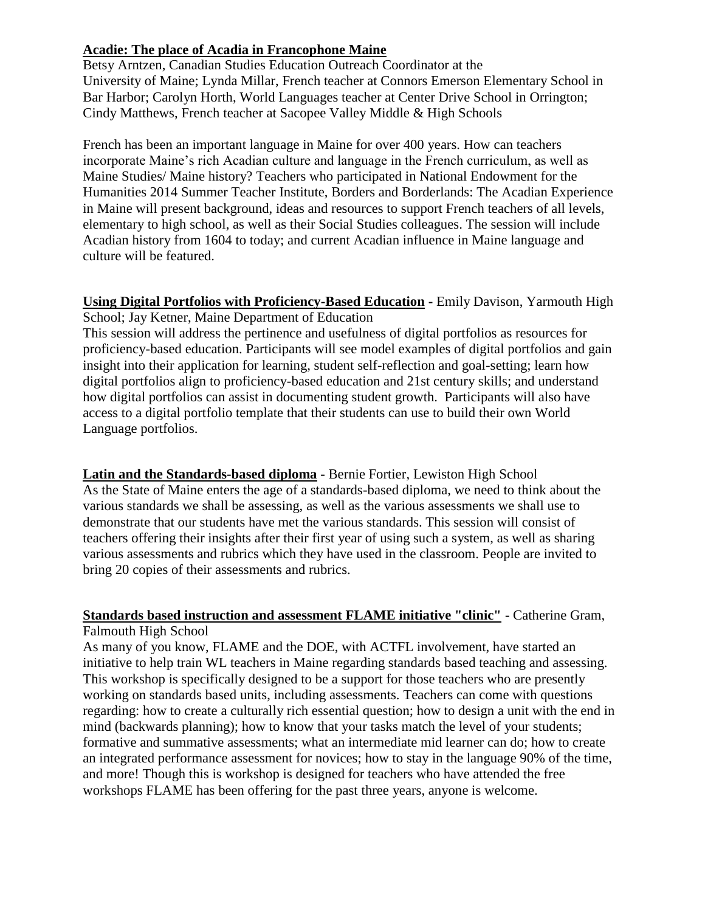#### **Acadie: The place of Acadia in Francophone Maine**

Betsy Arntzen, Canadian Studies Education Outreach Coordinator at the University of Maine; Lynda Millar, French teacher at Connors Emerson Elementary School in Bar Harbor; Carolyn Horth, World Languages teacher at Center Drive School in Orrington; Cindy Matthews, French teacher at Sacopee Valley Middle & High Schools

French has been an important language in Maine for over 400 years. How can teachers incorporate Maine's rich Acadian culture and language in the French curriculum, as well as Maine Studies/ Maine history? Teachers who participated in National Endowment for the Humanities 2014 Summer Teacher Institute, Borders and Borderlands: The Acadian Experience in Maine will present background, ideas and resources to support French teachers of all levels, elementary to high school, as well as their Social Studies colleagues. The session will include Acadian history from 1604 to today; and current Acadian influence in Maine language and culture will be featured.

**Using Digital Portfolios with Proficiency-Based Education -** Emily Davison, Yarmouth High School; Jay Ketner, Maine Department of Education

This session will address the pertinence and usefulness of digital portfolios as resources for proficiency-based education. Participants will see model examples of digital portfolios and gain insight into their application for learning, student self-reflection and goal-setting; learn how digital portfolios align to proficiency-based education and 21st century skills; and understand how digital portfolios can assist in documenting student growth. Participants will also have access to a digital portfolio template that their students can use to build their own World Language portfolios.

**Latin and the Standards-based diploma -** Bernie Fortier, Lewiston High School As the State of Maine enters the age of a standards-based diploma, we need to think about the various standards we shall be assessing, as well as the various assessments we shall use to demonstrate that our students have met the various standards. This session will consist of teachers offering their insights after their first year of using such a system, as well as sharing various assessments and rubrics which they have used in the classroom. People are invited to bring 20 copies of their assessments and rubrics.

#### **Standards based instruction and assessment FLAME initiative "clinic" -** Catherine Gram, Falmouth High School

As many of you know, FLAME and the DOE, with ACTFL involvement, have started an initiative to help train WL teachers in Maine regarding standards based teaching and assessing. This workshop is specifically designed to be a support for those teachers who are presently working on standards based units, including assessments. Teachers can come with questions regarding: how to create a culturally rich essential question; how to design a unit with the end in mind (backwards planning); how to know that your tasks match the level of your students; formative and summative assessments; what an intermediate mid learner can do; how to create an integrated performance assessment for novices; how to stay in the language 90% of the time, and more! Though this is workshop is designed for teachers who have attended the free workshops FLAME has been offering for the past three years, anyone is welcome.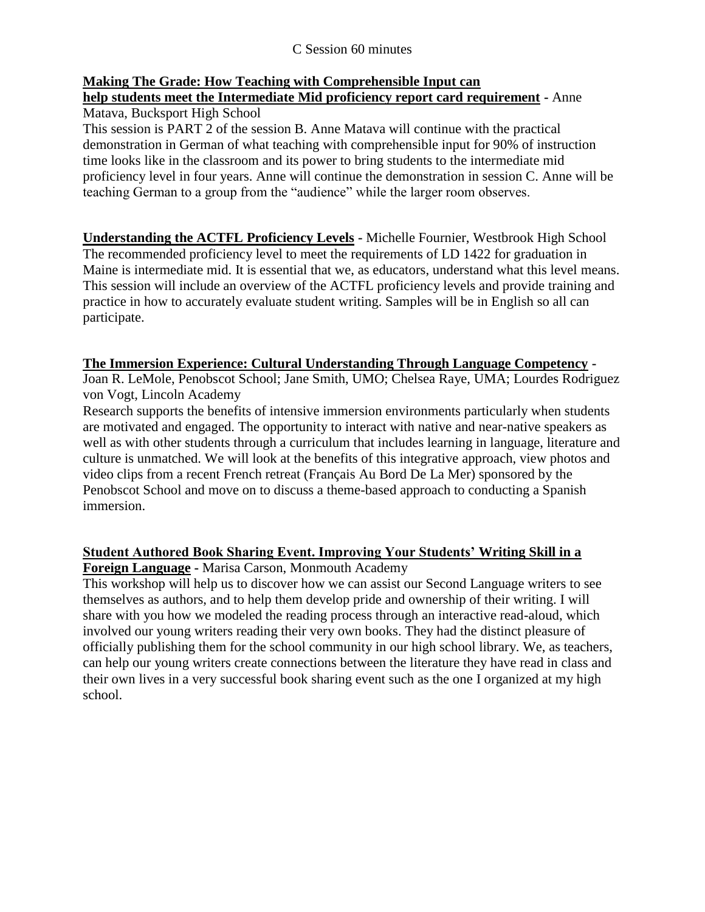#### C Session 60 minutes

## **Making The Grade: How Teaching with Comprehensible Input can**

# **help students meet the Intermediate Mid proficiency report card requirement -** Anne Matava, Bucksport High School

This session is PART 2 of the session B. Anne Matava will continue with the practical demonstration in German of what teaching with comprehensible input for 90% of instruction time looks like in the classroom and its power to bring students to the intermediate mid proficiency level in four years. Anne will continue the demonstration in session C. Anne will be teaching German to a group from the "audience" while the larger room observes.

**Understanding the ACTFL Proficiency Levels -** Michelle Fournier, Westbrook High School The recommended proficiency level to meet the requirements of LD 1422 for graduation in Maine is intermediate mid. It is essential that we, as educators, understand what this level means. This session will include an overview of the ACTFL proficiency levels and provide training and practice in how to accurately evaluate student writing. Samples will be in English so all can participate.

#### **The Immersion Experience: Cultural Understanding Through Language Competency -**

Joan R. LeMole, Penobscot School; Jane Smith, UMO; Chelsea Raye, UMA; Lourdes Rodriguez von Vogt, Lincoln Academy

Research supports the benefits of intensive immersion environments particularly when students are motivated and engaged. The opportunity to interact with native and near-native speakers as well as with other students through a curriculum that includes learning in language, literature and culture is unmatched. We will look at the benefits of this integrative approach, view photos and video clips from a recent French retreat (Français Au Bord De La Mer) sponsored by the Penobscot School and move on to discuss a theme-based approach to conducting a Spanish immersion.

# **Student Authored Book Sharing Event. Improving Your Students' Writing Skill in a**

**Foreign Language -** Marisa Carson, Monmouth Academy

This workshop will help us to discover how we can assist our Second Language writers to see themselves as authors, and to help them develop pride and ownership of their writing. I will share with you how we modeled the reading process through an interactive read-aloud, which involved our young writers reading their very own books. They had the distinct pleasure of officially publishing them for the school community in our high school library. We, as teachers, can help our young writers create connections between the literature they have read in class and their own lives in a very successful book sharing event such as the one I organized at my high school.